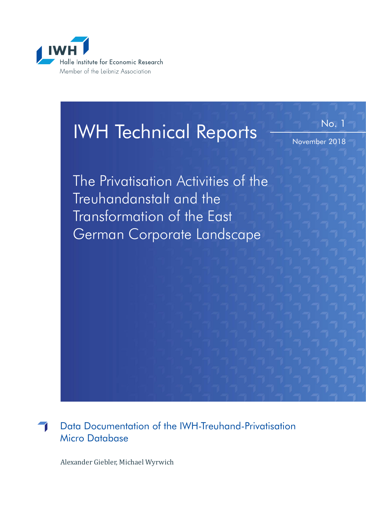

# IWH Technical Reports  $\frac{N_{0.1}}{N_{\text{N}}}}$

November 2018

The Privatisation Activities of the Treuhandanstalt and the Transformation of the East German Corporate Landscape

Data Documentation of the IWH-Treuhand-Privatisation Micro Database

Alexander Giebler, Michael Wyrwich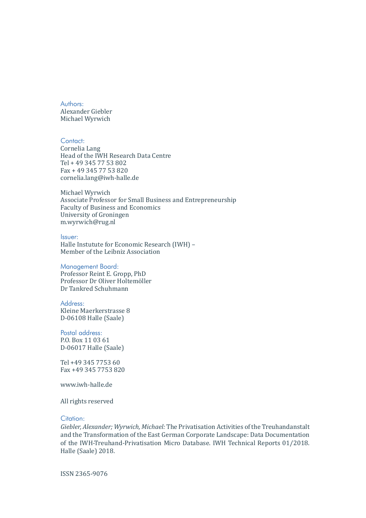Authors: Alexander Giebler Michael Wyrwich

Contact: Cornelia Lang Head of the IWH Research Data Centre Tel + 49 345 77 53 802 Fax + 49 345 77 53 820 cornelia.lang@iwh-halle.de

Michael Wyrwich [Associate Professor for Sma](mailto:cornelia.lang%40iwh-halle.de?subject=)ll Business and Entrepreneurship Faculty of Business and Economics University of Groningen m.wyrwich@rug.nl

Issuer: Halle Instutute for Economic Research (IWH) – Member of the Leibniz Association

#### Management Board:

Professor Reint E. Gropp, PhD Professor Dr Oliver Holtemöller Dr Tankred Schuhmann

#### Address:

Kleine Maerkerstrasse 8 D-06108 Halle (Saale)

Postal address:

P.O. Box 11 03 61 D-06017 Halle (Saale)

Tel +49 345 7753 60 Fax +49 345 7753 820

www.iwh-halle.de

All rights reserved

#### Citation:

*Giebler, Alexander; Wyrwich, Michael:* The Privatisation Activities of the Treuhandanstalt and the Transformation of the East German Corporate Landscape: Data Documentation of the IWH-Treuhand-Privatisation Micro Database. IWH Technical Reports 01/2018. Halle (Saale) 2018.

ISSN 2365-9076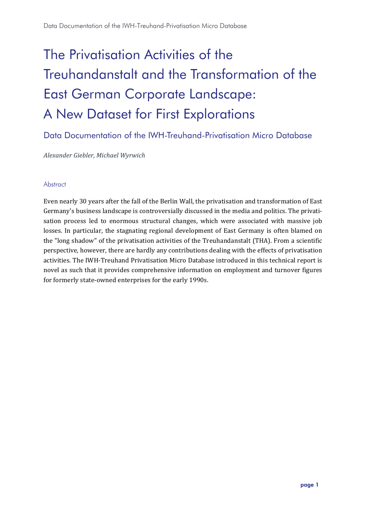# The Privatisation Activities of the Treuhandanstalt and the Transformation of the East German Corporate Landscape: A New Dataset for First Explorations

Data Documentation of the IWH-Treuhand-Privatisation Micro Database

*Alexander Giebler, Michael Wyrwich*

#### <span id="page-2-0"></span>**Abstract**

Even nearly 30 years after the fall of the Berlin Wall, the privatisation and transformation of East Germany's business landscape is controversially discussed in the media and politics. The privatisation process led to enormous structural changes, which were associated with massive job losses. In particular, the stagnating regional development of East Germany is often blamed on the "long shadow" of the privatisation activities of the Treuhandanstalt (THA). From a scientific perspective, however, there are hardly any contributions dealing with the effects of privatisation activities. The IWH-Treuhand Privatisation Micro Database introduced in this technical report is novel as such that it provides comprehensive information on employment and turnover figures for formerly state-owned enterprises for the early 1990s.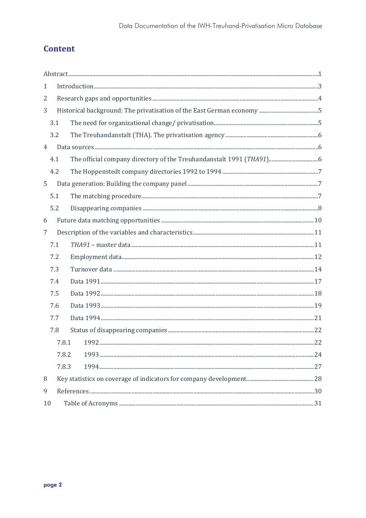# **Content**

| 1              |       | Introduction 33 |  |
|----------------|-------|-----------------|--|
| 2              |       |                 |  |
| 3              |       |                 |  |
|                | 3.1   |                 |  |
|                | 3.2   |                 |  |
| $\overline{4}$ |       |                 |  |
|                | 4.1   |                 |  |
|                | 4.2   |                 |  |
| 5              |       |                 |  |
|                | 5.1   |                 |  |
|                | 5.2   |                 |  |
| 6              |       |                 |  |
| 7              |       |                 |  |
|                | 7.1   |                 |  |
|                | 7.2   |                 |  |
|                | 7.3   |                 |  |
|                | 7.4   |                 |  |
|                | 7.5   |                 |  |
|                | 7.6   |                 |  |
|                | 7.7   |                 |  |
|                | 7.8   |                 |  |
|                | 7.8.1 |                 |  |
|                | 7.8.2 |                 |  |
|                | 7.8.3 |                 |  |
| 8              |       |                 |  |
| 9              |       |                 |  |
| 10             |       |                 |  |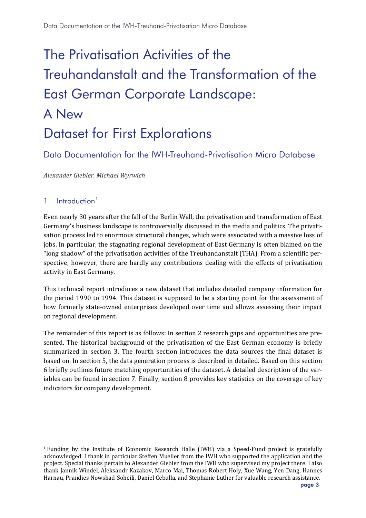# The Privatisation Activities of the Treuhandanstalt and the Transformation of the East German Corporate Landscape: A New Dataset for First Explorations

Data Documentation for the IWH-Treuhand-Privatisation Micro Database

*Alexander Giebler, Michael Wyrwich*

#### <span id="page-4-0"></span>[1](#page-4-1)  $Introduction<sup>1</sup>$

**.** 

Even nearly 30 years after the fall of the Berlin Wall, the privatisation and transformation of East Germany's business landscape is controversially discussed in the media and politics. The privatisation process led to enormous structural changes, which were associated with a massive loss of jobs. In particular, the stagnating regional development of East Germany is often blamed on the "long shadow" of the privatisation activities of the Treuhandanstalt (THA). From a scientific perspective, however, there are hardly any contributions dealing with the effects of privatisation activity in East Germany.

This technical report introduces a new dataset that includes detailed company information for the period 1990 to 1994. This dataset is supposed to be a starting point for the assessment of how formerly state-owned enterprises developed over time and allows assessing their impact on regional development.

The remainder of this report is as follows: In section 2 research gaps and opportunities are presented. The historical background of the privatisation of the East German economy is briefly summarized in section 3. The fourth section introduces the data sources the final dataset is based on. In section 5, the data generation process is described in detailed. Based on this section 6 briefly outlines future matching opportunities of the dataset. A detailed description of the variables can be found in section 7. Finally, section 8 provides key statistics on the coverage of key indicators for company development.

<span id="page-4-1"></span><sup>1</sup> Funding by the Institute of Economic Research Halle (IWH) via a Speed-Fund project is gratefully acknowledged. I thank in particular Steffen Mueller from the IWH who supported the application and the project. Special thanks pertain to Alexander Giebler from the IWH who supervised my project there. I also thank Jannik Windel, Aleksandr Kazakov, Marco Mai, Thomas Robert Holy, Xue Wang, Yen Dang, Hannes Harnau, Prandies Nowshad-Soheili, Daniel Cebulla, and Stephanie Luther for valuable research assistance.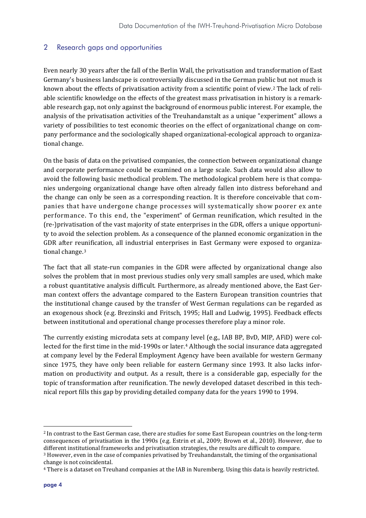#### <span id="page-5-0"></span>2 Research gaps and opportunities

Even nearly 30 years after the fall of the Berlin Wall, the privatisation and transformation of East Germany's business landscape is controversially discussed in the German publi[c](#page-5-1) but not much is known about the effects of privatisation activity from a scientific point of view.2 The lack of reliable scientific knowledge on the effects of the greatest mass privatisation in history is a remarkable research gap, not only against the background of enormous public interest. For example, the analysis of the privatisation activities of the Treuhandanstalt as a unique "experiment" allows a variety of possibilities to test economic theories on the effect of organizational change on company performance and the sociologically shaped organizational-ecological approach to organizational change.

On the basis of data on the privatised companies, the connection between organizational change and corporate performance could be examined on a large scale. Such data would also allow to avoid the following basic methodical problem. The methodological problem here is that companies undergoing organizational change have often already fallen into distress beforehand and the change can only be seen as a corresponding reaction. It is therefore conceivable that companies that have undergone change processes will systematically show poorer ex ante performance. To this end, the "experiment" of German reunification, which resulted in the (re-)privatisation of the vast majority of state enterprises in the GDR, offers a unique opportunity to avoid the selection problem. As a consequence of the planned economic organization in the GDR after reunification, all industrial enterprises in East Germany were exposed to organizational change.[3](#page-5-2)

The fact that all state-run companies in the GDR were affected by organizational change also solves the problem that in most previous studies only very small samples are used, which make a robust quantitative analysis difficult. Furthermore, as already mentioned above, the East German context offers the advantage compared to the Eastern European transition countries that the institutional change caused by the transfer of West German regulations can be regarded as an exogenous shock (e.g. Brezinski and Fritsch, 1995; Hall and Ludwig, 1995). Feedback effects between institutional and operational change processes therefore play a minor role.

The currently existing microdata sets at compa[ny](#page-5-3) level (e.g., IAB BP, BvD, MIP, AFiD) were collected for the first time in the mid-1990s or later.4 Although the social insurance data aggregated at company level by the Federal Employment Agency have been available for western Germany since 1975, they have only been reliable for eastern Germany since 1993. It also lacks information on productivity and output. As a result, there is a considerable gap, especially for the topic of transformation after reunification. The newly developed dataset described in this technical report fills this gap by providing detailed company data for the years 1990 to 1994.

**.** 

<span id="page-5-1"></span><sup>2</sup> In contrast to the East German case, there are studies for some East European countries on the long-term consequences of privatisation in the 1990s (e.g. Estrin et al., 2009; Brown et al., 2010). However, due to different institutional frameworks and privatisation strategies, the results are difficult to compare. <sup>3</sup> However, even in the case of companies privatised by Treuhandanstalt, the timing of the organisational

<span id="page-5-2"></span>change is not coincidental.

<span id="page-5-3"></span><sup>4</sup> There is a dataset on Treuhand companies at the IAB in Nuremberg. Using this data is heavily restricted.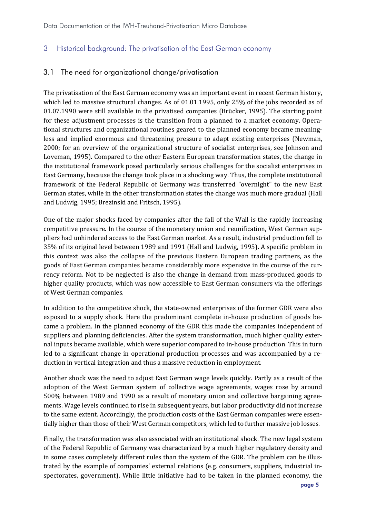#### <span id="page-6-0"></span>3 Historical background: The privatisation of the East German economy

#### <span id="page-6-1"></span>3.1 The need for organizational change/privatisation

The privatisation of the East German economy was an important event in recent German history, which led to massive structural changes. As of 01.01.1995, only 25% of the jobs recorded as of 01.07.1990 were still available in the privatised companies (Brücker, 1995). The starting point for these adjustment processes is the transition from a planned to a market economy. Operational structures and organizational routines geared to the planned economy became meaningless and implied enormous and threatening pressure to adapt existing enterprises (Newman, 2000; for an overview of the organizational structure of socialist enterprises, see Johnson and Loveman, 1995). Compared to the other Eastern European transformation states, the change in the institutional framework posed particularly serious challenges for the socialist enterprises in East Germany, because the change took place in a shocking way. Thus, the complete institutional framework of the Federal Republic of Germany was transferred "overnight" to the new East German states, while in the other transformation states the change was much more gradual (Hall and Ludwig, 1995; Brezinski and Fritsch, 1995).

One of the major shocks faced by companies after the fall of the Wall is the rapidly increasing competitive pressure. In the course of the monetary union and reunification, West German suppliers had unhindered access to the East German market. As a result, industrial production fell to 35% of its original level between 1989 and 1991 (Hall and Ludwig, 1995). A specific problem in this context was also the collapse of the previous Eastern European trading partners, as the goods of East German companies became considerably more expensive in the course of the currency reform. Not to be neglected is also the change in demand from mass-produced goods to higher quality products, which was now accessible to East German consumers via the offerings of West German companies.

In addition to the competitive shock, the state-owned enterprises of the former GDR were also exposed to a supply shock. Here the predominant complete in-house production of goods became a problem. In the planned economy of the GDR this made the companies independent of suppliers and planning deficiencies. After the system transformation, much higher quality external inputs became available, which were superior compared to in-house production. This in turn led to a significant change in operational production processes and was accompanied by a reduction in vertical integration and thus a massive reduction in employment.

Another shock was the need to adjust East German wage levels quickly. Partly as a result of the adoption of the West German system of collective wage agreements, wages rose by around 500% between 1989 and 1990 as a result of monetary union and collective bargaining agreements. Wage levels continued to rise in subsequent years, but labor productivity did not increase to the same extent. Accordingly, the production costs of the East German companies were essentially higher than those of their West German competitors, which led to further massive job losses.

Finally, the transformation was also associated with an institutional shock. The new legal system of the Federal Republic of Germany was characterized by a much higher regulatory density and in some cases completely different rules than the system of the GDR. The problem can be illustrated by the example of companies' external relations (e.g. consumers, suppliers, industrial inspectorates, government). While little initiative had to be taken in the planned economy, the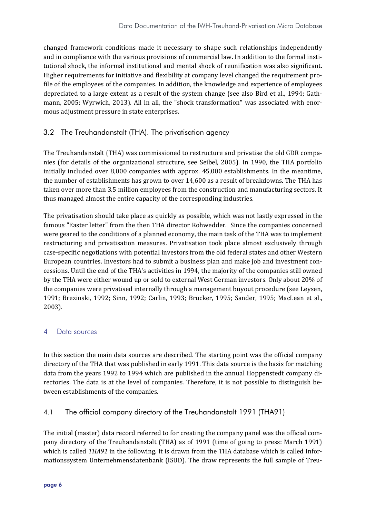changed framework conditions made it necessary to shape such relationships independently and in compliance with the various provisions of commercial law. In addition to the formal institutional shock, the informal institutional and mental shock of reunification was also significant. Higher requirements for initiative and flexibility at company level changed the requirement profile of the employees of the companies. In addition, the knowledge and experience of employees depreciated to a large extent as a result of the system change (see also Bird et al., 1994; Gathmann, 2005; Wyrwich, 2013). All in all, the "shock transformation" was associated with enormous adjustment pressure in state enterprises.

#### <span id="page-7-0"></span>3.2 The Treuhandanstalt (THA). The privatisation agency

The Treuhandanstalt (THA) was commissioned to restructure and privatise the old GDR companies (for details of the organizational structure, see Seibel, 2005). In 1990, the THA portfolio initially included over 8,000 companies with approx. 45,000 establishments. In the meantime, the number of establishments has grown to over 14,600 as a result of breakdowns. The THA has taken over more than 3.5 million employees from the construction and manufacturing sectors. It thus managed almost the entire capacity of the corresponding industries.

The privatisation should take place as quickly as possible, which was not lastly expressed in the famous "Easter letter" from the then THA director Rohwedder. Since the companies concerned were geared to the conditions of a planned economy, the main task of the THA was to implement restructuring and privatisation measures. Privatisation took place almost exclusively through case-specific negotiations with potential investors from the old federal states and other Western European countries. Investors had to submit a business plan and make job and investment concessions. Until the end of the THA's activities in 1994, the majority of the companies still owned by the THA were either wound up or sold to external West German investors. Only about 20% of the companies were privatised internally through a management buyout procedure (see Leysen, 1991; Brezinski, 1992; Sinn, 1992; Carlin, 1993; Brücker, 1995; Sander, 1995; MacLean et al., 2003).

#### <span id="page-7-1"></span>4 Data sources

In this section the main data sources are described. The starting point was the official company directory of the THA that was published in early 1991. This data source is the basis for matching data from the years 1992 to 1994 which are published in the annual Hoppenstedt company directories. The data is at the level of companies. Therefore, it is not possible to distinguish between establishments of the companies.

#### <span id="page-7-2"></span>4.1 The official company directory of the Treuhandanstalt 1991 (THA91)

The initial (master) data record referred to for creating the company panel was the official company directory of the Treuhandanstalt (THA) as of 1991 (time of going to press: March 1991) which is called *THA91* in the following. It is drawn from the THA database which is called Informationssystem Unternehmensdatenbank (ISUD). The draw represents the full sample of Treu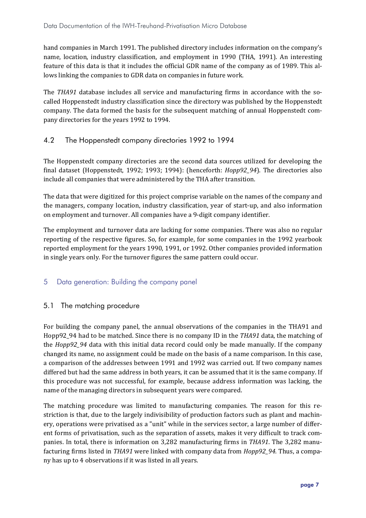hand companies in March 1991. The published directory includes information on the company's name, location, industry classification, and employment in 1990 (THA, 1991). An interesting feature of this data is that it includes the official GDR name of the company as of 1989. This allows linking the companies to GDR data on companies in future work.

The *THA91* database includes all service and manufacturing firms in accordance with the socalled Hoppenstedt industry classification since the directory was published by the Hoppenstedt company. The data formed the basis for the subsequent matching of annual Hoppenstedt company directories for the years 1992 to 1994.

#### <span id="page-8-0"></span>4.2 The Hoppenstedt company directories 1992 to 1994

The Hoppenstedt company directories are the second data sources utilized for developing the final dataset (Hoppenstedt, 1992; 1993; 1994): (henceforth: *Hopp92\_94*). The directories also include all companies that were administered by the THA after transition.

The data that were digitized for this project comprise variable on the names of the company and the managers, company location, industry classification, year of start-up, and also information on employment and turnover. All companies have a 9-digit company identifier.

The employment and turnover data are lacking for some companies. There was also no regular reporting of the respective figures. So, for example, for some companies in the 1992 yearbook reported employment for the years 1990, 1991, or 1992. Other companies provided information in single years only. For the turnover figures the same pattern could occur.

#### <span id="page-8-1"></span>5 Data generation: Building the company panel

#### <span id="page-8-2"></span>5.1 The matching procedure

For building the company panel, the annual observations of the companies in the THA91 and Hopp92\_94 had to be matched. Since there is no company ID in the *THA91* data, the matching of the *Hopp92\_94* data with this initial data record could only be made manually. If the company changed its name, no assignment could be made on the basis of a name comparison. In this case, a comparison of the addresses between 1991 and 1992 was carried out. If two company names differed but had the same address in both years, it can be assumed that it is the same company. If this procedure was not successful, for example, because address information was lacking, the name of the managing directors in subsequent years were compared.

The matching procedure was limited to manufacturing companies. The reason for this restriction is that, due to the largely indivisibility of production factors such as plant and machinery, operations were privatised as a "unit" while in the services sector, a large number of different forms of privatisation, such as the separation of assets, makes it very difficult to track companies. In total, there is information on 3,282 manufacturing firms in *THA91*. The 3,282 manufacturing firms listed in *THA91* were linked with company data from *Hopp92\_94.* Thus, a company has up to 4 observations if it was listed in all years.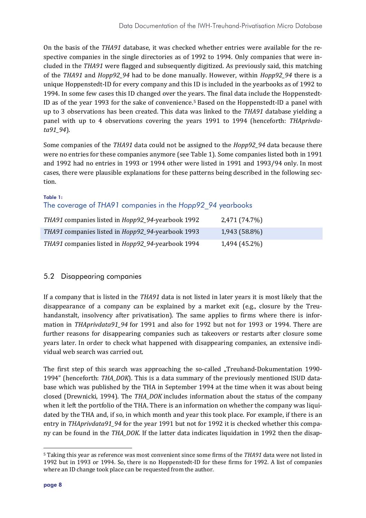On the basis of the *THA91* database, it was checked whether entries were available for the respective companies in the single directories as of 1992 to 1994. Only companies that were included in the *THA91* were flagged and subsequently digitized. As previously said, this matching of the *THA91* and *Hopp92\_94* had to be done manually. However, within *Hopp92\_94* there is a unique Hoppenstedt-ID for every company and this ID is included in the yearbooks as of 1992 to 1994. In some few cases this ID changed over the years. The final data include the Hoppenstedt-ID as of the year 1993 for the sake of convenience.[5](#page-9-1) Based on the Hoppenstedt-ID a panel with up to 3 observations has been created. This data was linked to the *THA91* database yielding a panel with up to 4 observations covering the years 1991 to 1994 (henceforth: *THAprivdata91\_94*).

Some companies of the *THA91* data could not be assigned to the *Hopp92\_94* data because there were no entries for these companies anymore (see Table 1). Some companies listed both in 1991 and 1992 had no entries in 1993 or 1994 other were listed in 1991 and 1993/94 only. In most cases, there were plausible explanations for these patterns being described in the following section.

# Table 1:

#### The coverage of *THA91* companies in the *Hopp92\_94* yearbooks

| THA91 companies listed in Hopp92_94-yearbook 1992 | 2,471 (74.7%)   |
|---------------------------------------------------|-----------------|
| THA91 companies listed in Hopp92_94-yearbook 1993 | $1,943(58.8\%)$ |
| THA91 companies listed in Hopp92_94-yearbook 1994 | 1,494 (45.2%)   |

#### <span id="page-9-0"></span>5.2 Disappearing companies

If a company that is listed in the *THA91* data is not listed in later years it is most likely that the disappearance of a company can be explained by a market exit (e.g., closure by the Treuhandanstalt, insolvency after privatisation). The same applies to firms where there is information in *THAprivdata91\_94* for 1991 and also for 1992 but not for 1993 or 1994. There are further reasons for disappearing companies such as takeovers or restarts after closure some years later. In order to check what happened with disappearing companies, an extensive individual web search was carried out.

The first step of this search was approaching the so-called "Treuhand-Dokumentation 1990-1994" (henceforth: *THA\_DOK*). This is a data summary of the previously mentioned ISUD database which was published by the THA in September 1994 at the time when it was about being closed (Drewnicki, 1994). The *THA\_DOK* includes information about the status of the company when it left the portfolio of the THA. There is an information on whether the company was liquidated by the THA and, if so, in which month and year this took place. For example, if there is an entry in *THAprivdata91\_94* for the year 1991 but not for 1992 it is checked whether this company can be found in the *THA\_DOK*. If the latter data indicates liquidation in 1992 then the disap-

 $\overline{a}$ 

<span id="page-9-1"></span><sup>5</sup> Taking this year as reference was most convenient since some firms of the *THA91* data were not listed in 1992 but in 1993 or 1994. So, there is no Hoppenstedt-ID for these firms for 1992. A list of companies where an ID change took place can be requested from the author.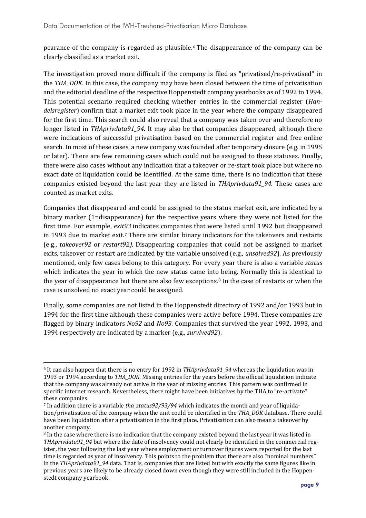pearance of the company is regarded as plausible.[6](#page-10-0) The disappearance of the company can be clearly classified as a market exit.

The investigation proved more difficult if the company is filed as "privatised/re-privatised" in the *THA\_DOK*. In this case, the company may have been closed between the time of privatisation and the editorial deadline of the respective Hoppenstedt company yearbooks as of 1992 to 1994. This potential scenario required checking whether entries in the commercial register (*Handelsregister*) confirm that a market exit took place in the year where the company disappeared for the first time. This search could also reveal that a company was taken over and therefore no longer listed in *THAprivdata91\_94*. It may also be that companies disappeared, although there were indications of successful privatisation based on the commercial register and free online search. In most of these cases, a new company was founded after temporary closure (e.g. in 1995 or later). There are few remaining cases which could not be assigned to these statuses. Finally, there were also cases without any indication that a takeover or re-start took place but where no exact date of liquidation could be identified. At the same time, there is no indication that these companies existed beyond the last year they are listed in *THAprivdata91\_94*. These cases are counted as market exits.

Companies that disappeared and could be assigned to the status market exit, are indicated by a binary marker (1=disappearance) for the respective years where they were not listed for the first time. For example, *exit93* indicates companies that were listed until 1992 but disappeared in 1993 due to market exit.<sup>[7](#page-10-1)</sup> There are similar binary indicators for the takeovers and restarts (e.g., *takeover92* or *restart92).* Disappearing companies that could not be assigned to market exits, takeover or restart are indicated by the variable unsolved (e.g., *unsolved92*). As previously mentioned, only few cases belong to this category. For every year there is also a variable *status* which indicates the year in which the new status came int[o b](#page-10-2)eing. Normally this is identical to the year of disappearance but there are also few exceptions.<sup>8</sup> In the case of restarts or when the case is unsolved no exact year could be assigned.

Finally, some companies are not listed in the Hoppenstedt directory of 1992 and/or 1993 but in 1994 for the first time although these companies were active before 1994. These companies are flagged by binary indicators *No92* and *No93*. Companies that survived the year 1992, 1993, and 1994 respectively are indicated by a marker (e.g., *survived92*).

**.** 

<span id="page-10-0"></span><sup>6</sup> It can also happen that there is no entry for 1992 in *THAprivdata91\_94* whereas the liquidation was in 1993 or 1994 according to *THA\_DOK*. Missing entries for the years before the official liquidation indicate that the company was already not active in the year of missing entries. This pattern was confirmed in specific internet research. Nevertheless, there might have been initiatives by the THA to "re-activate" these companies.

<span id="page-10-1"></span><sup>7</sup> In addition there is a variable *tha\_status92/93/94* which indicates the month and year of liquidation/privatisation of the company when the unit could be identified in the *THA\_DOK* database. There could have been liquidation after a privatisation in the first place. Privatisation can also mean a takeover by another company.

<span id="page-10-2"></span><sup>8</sup> In the case where there is no indication that the company existed beyond the last year it was listed in *THAprivdata91\_94* but where the date of insolvency could not clearly be identified in the commercial register, the year following the last year where employment or turnover figures were reported for the last time is regarded as year of insolvency. This points to the problem that there are also "nominal numbers" in the *THAprivdata91\_94* data. That is, companies that are listed but with exactly the same figures like in previous years are likely to be already closed down even though they were still included in the Hoppenstedt company yearbook.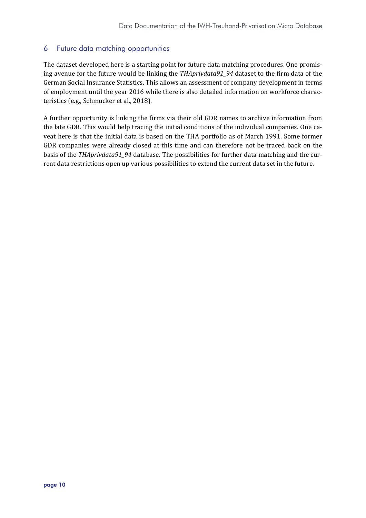#### <span id="page-11-0"></span>6 Future data matching opportunities

The dataset developed here is a starting point for future data matching procedures. One promising avenue for the future would be linking the *THAprivdata91\_94* dataset to the firm data of the German Social Insurance Statistics. This allows an assessment of company development in terms of employment until the year 2016 while there is also detailed information on workforce characteristics (e.g., Schmucker et al., 2018).

A further opportunity is linking the firms via their old GDR names to archive information from the late GDR. This would help tracing the initial conditions of the individual companies. One caveat here is that the initial data is based on the THA portfolio as of March 1991. Some former GDR companies were already closed at this time and can therefore not be traced back on the basis of the *THAprivdata91\_94* database. The possibilities for further data matching and the current data restrictions open up various possibilities to extend the current data set in the future.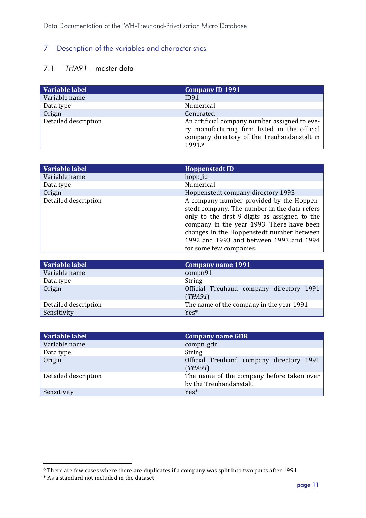# <span id="page-12-0"></span>7 Description of the variables and characteristics

# <span id="page-12-1"></span>7.1 *THA91* – master data

| Variable label       | <b>Company ID 1991</b>                                                                                                                                 |
|----------------------|--------------------------------------------------------------------------------------------------------------------------------------------------------|
| Variable name        | ID91                                                                                                                                                   |
| Data type            | Numerical                                                                                                                                              |
| Origin               | Generated                                                                                                                                              |
| Detailed description | An artificial company number assigned to eve-<br>ry manufacturing firm listed in the official<br>company directory of the Treuhandanstalt in<br>1991.9 |

| <b>Variable label</b> | <b>Hoppenstedt ID</b>                                                                                                                                                                                                                                                                                     |
|-----------------------|-----------------------------------------------------------------------------------------------------------------------------------------------------------------------------------------------------------------------------------------------------------------------------------------------------------|
| Variable name         | hopp_id                                                                                                                                                                                                                                                                                                   |
| Data type             | Numerical                                                                                                                                                                                                                                                                                                 |
| Origin                | Hoppenstedt company directory 1993                                                                                                                                                                                                                                                                        |
| Detailed description  | A company number provided by the Hoppen-<br>stedt company. The number in the data refers<br>only to the first 9-digits as assigned to the<br>company in the year 1993. There have been<br>changes in the Hoppenstedt number between<br>1992 and 1993 and between 1993 and 1994<br>for some few companies. |

| Variable label       | Company name 1991                                   |
|----------------------|-----------------------------------------------------|
| Variable name        | compn91                                             |
| Data type            | <b>String</b>                                       |
| Origin               | Official Treuhand company directory 1991<br>(THA91) |
| Detailed description | The name of the company in the year 1991            |
| Sensitivity          | Yes <sup>*</sup>                                    |

| Variable label       | <b>Company name GDR</b>                                             |
|----------------------|---------------------------------------------------------------------|
| Variable name        | compn_gdr                                                           |
| Data type            | <b>String</b>                                                       |
| Origin               | Official Treuhand company directory 1991<br>(THA91)                 |
| Detailed description | The name of the company before taken over<br>by the Treuhandanstalt |
| Sensitivity          | $Yes*$                                                              |

**.** 

<span id="page-12-2"></span><sup>9</sup> There are few cases where there are duplicates if a company was split into two parts after 1991.

<sup>\*</sup> As a standard not included in the dataset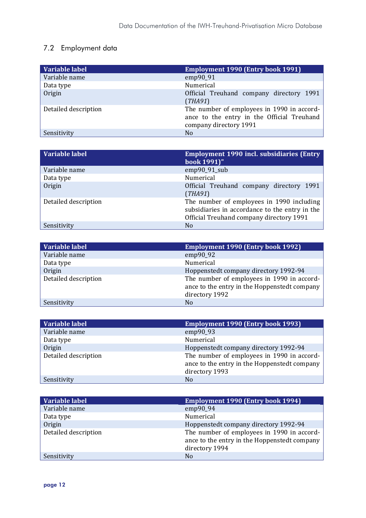# <span id="page-13-0"></span>7.2 Employment data

| Variable label       | <b>Employment 1990 (Entry book 1991)</b>                                                                           |
|----------------------|--------------------------------------------------------------------------------------------------------------------|
| Variable name        | emp90_91                                                                                                           |
| Data type            | Numerical                                                                                                          |
| Origin               | Official Treuhand company directory 1991<br>(THA91)                                                                |
| Detailed description | The number of employees in 1990 in accord-<br>ance to the entry in the Official Treuhand<br>company directory 1991 |
| Sensitivity          | No                                                                                                                 |

| Variable label       | <b>Employment 1990 incl. subsidiaries (Entry)</b><br>book 1991)"                                                                        |
|----------------------|-----------------------------------------------------------------------------------------------------------------------------------------|
| Variable name        | $emp90_91$ _sub                                                                                                                         |
| Data type            | Numerical                                                                                                                               |
| Origin               | Official Treuhand company directory 1991<br>(THA91)                                                                                     |
| Detailed description | The number of employees in 1990 including<br>subsidiaries in accordance to the entry in the<br>Official Treuhand company directory 1991 |
| Sensitivity          | N <sub>0</sub>                                                                                                                          |

| Variable label       | <b>Employment 1990 (Entry book 1992)</b>                                                                     |
|----------------------|--------------------------------------------------------------------------------------------------------------|
| Variable name        | emp90_92                                                                                                     |
| Data type            | Numerical                                                                                                    |
| Origin               | Hoppenstedt company directory 1992-94                                                                        |
| Detailed description | The number of employees in 1990 in accord-<br>ance to the entry in the Hoppenstedt company<br>directory 1992 |
| Sensitivity          | N <sub>o</sub>                                                                                               |

| Variable label       | <b>Employment 1990 (Entry book 1993)</b>                                                                     |
|----------------------|--------------------------------------------------------------------------------------------------------------|
| Variable name        | emp90_93                                                                                                     |
| Data type            | Numerical                                                                                                    |
| Origin               | Hoppenstedt company directory 1992-94                                                                        |
| Detailed description | The number of employees in 1990 in accord-<br>ance to the entry in the Hoppenstedt company<br>directory 1993 |
| Sensitivity          | No.                                                                                                          |

| Variable label       | <b>Employment 1990 (Entry book 1994)</b>                                                                     |
|----------------------|--------------------------------------------------------------------------------------------------------------|
| Variable name        | emp90_94                                                                                                     |
| Data type            | Numerical                                                                                                    |
| Origin               | Hoppenstedt company directory 1992-94                                                                        |
| Detailed description | The number of employees in 1990 in accord-<br>ance to the entry in the Hoppenstedt company<br>directory 1994 |
| Sensitivity          | No.                                                                                                          |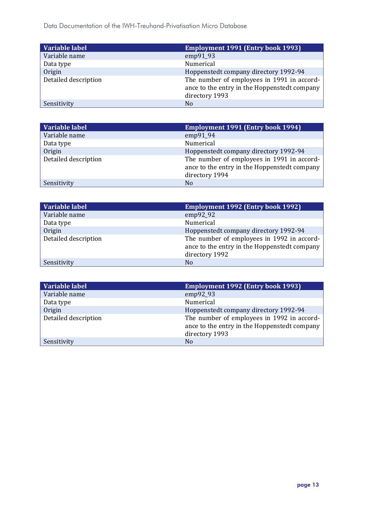| Variable label       | <b>Employment 1991 (Entry book 1993)</b>                                                                     |
|----------------------|--------------------------------------------------------------------------------------------------------------|
| Variable name        | emp91_93                                                                                                     |
| Data type            | Numerical                                                                                                    |
| Origin               | Hoppenstedt company directory 1992-94                                                                        |
| Detailed description | The number of employees in 1991 in accord-<br>ance to the entry in the Hoppenstedt company<br>directory 1993 |
| Sensitivity          | N <sub>o</sub>                                                                                               |

| Variable label       | <b>Employment 1991 (Entry book 1994)</b>                                                                     |
|----------------------|--------------------------------------------------------------------------------------------------------------|
| Variable name        | emp91_94                                                                                                     |
| Data type            | Numerical                                                                                                    |
| Origin               | Hoppenstedt company directory 1992-94                                                                        |
| Detailed description | The number of employees in 1991 in accord-<br>ance to the entry in the Hoppenstedt company<br>directory 1994 |
| Sensitivity          | No.                                                                                                          |

| Variable label       | <b>Employment 1992 (Entry book 1992)</b>                                                                     |
|----------------------|--------------------------------------------------------------------------------------------------------------|
| Variable name        | emp92_92                                                                                                     |
| Data type            | Numerical                                                                                                    |
| Origin               | Hoppenstedt company directory 1992-94                                                                        |
| Detailed description | The number of employees in 1992 in accord-<br>ance to the entry in the Hoppenstedt company<br>directory 1992 |
| Sensitivity          | N <sub>0</sub>                                                                                               |

| Variable label       | <b>Employment 1992 (Entry book 1993)</b>                                                                     |
|----------------------|--------------------------------------------------------------------------------------------------------------|
| Variable name        | $emp92_93$                                                                                                   |
| Data type            | Numerical                                                                                                    |
| Origin               | Hoppenstedt company directory 1992-94                                                                        |
| Detailed description | The number of employees in 1992 in accord-<br>ance to the entry in the Hoppenstedt company<br>directory 1993 |
| Sensitivity          | N <sub>0</sub>                                                                                               |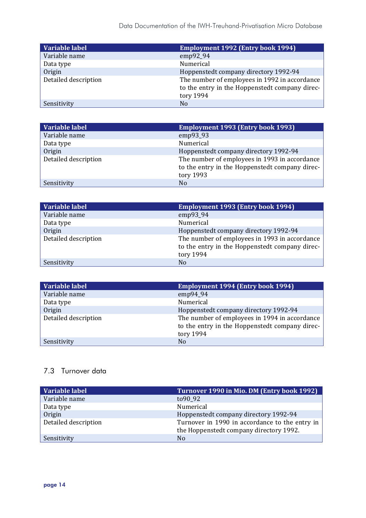| Variable label       | <b>Employment 1992 (Entry book 1994)</b>                                                                     |
|----------------------|--------------------------------------------------------------------------------------------------------------|
| Variable name        | emp92_94                                                                                                     |
| Data type            | Numerical                                                                                                    |
| Origin               | Hoppenstedt company directory 1992-94                                                                        |
| Detailed description | The number of employees in 1992 in accordance<br>to the entry in the Hoppenstedt company direc-<br>tory 1994 |
| Sensitivity          | No                                                                                                           |

| Variable label       | <b>Employment 1993 (Entry book 1993)</b>                                                                     |
|----------------------|--------------------------------------------------------------------------------------------------------------|
| Variable name        | emp93_93                                                                                                     |
| Data type            | Numerical                                                                                                    |
| Origin               | Hoppenstedt company directory 1992-94                                                                        |
| Detailed description | The number of employees in 1993 in accordance<br>to the entry in the Hoppenstedt company direc-<br>tory 1993 |
| Sensitivity          | No                                                                                                           |

| Variable label       | <b>Employment 1993 (Entry book 1994)</b>                                                                     |
|----------------------|--------------------------------------------------------------------------------------------------------------|
| Variable name        | emp93_94                                                                                                     |
| Data type            | Numerical                                                                                                    |
| Origin               | Hoppenstedt company directory 1992-94                                                                        |
| Detailed description | The number of employees in 1993 in accordance<br>to the entry in the Hoppenstedt company direc-<br>tory 1994 |
| Sensitivity          | No                                                                                                           |

| Variable label       | <b>Employment 1994 (Entry book 1994)</b>                                                                     |
|----------------------|--------------------------------------------------------------------------------------------------------------|
| Variable name        | emp94_94                                                                                                     |
| Data type            | Numerical                                                                                                    |
| Origin               | Hoppenstedt company directory 1992-94                                                                        |
| Detailed description | The number of employees in 1994 in accordance<br>to the entry in the Hoppenstedt company direc-<br>tory 1994 |
| Sensitivity          | No                                                                                                           |

# <span id="page-15-0"></span>7.3 Turnover data

| Variable label       | Turnover 1990 in Mio. DM (Entry book 1992)     |
|----------------------|------------------------------------------------|
| Variable name        | to90_92                                        |
| Data type            | Numerical                                      |
| Origin               | Hoppenstedt company directory 1992-94          |
| Detailed description | Turnover in 1990 in accordance to the entry in |
|                      | the Hoppenstedt company directory 1992.        |
| Sensitivity          | N <sub>0</sub>                                 |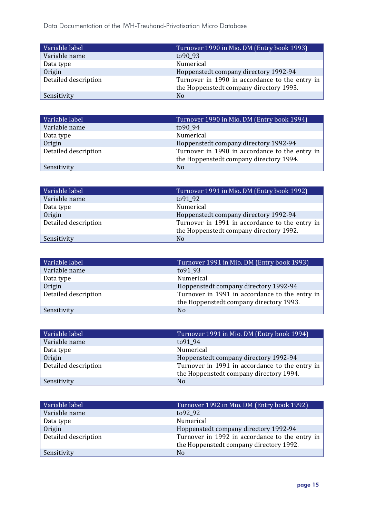| Variable label       | Turnover 1990 in Mio. DM (Entry book 1993)     |
|----------------------|------------------------------------------------|
| Variable name        | to90_93                                        |
| Data type            | Numerical                                      |
| Origin               | Hoppenstedt company directory 1992-94          |
| Detailed description | Turnover in 1990 in accordance to the entry in |
|                      | the Hoppenstedt company directory 1993.        |
| Sensitivity          | N <sub>o</sub>                                 |

| Variable label       | Turnover 1990 in Mio. DM (Entry book 1994)                                                |
|----------------------|-------------------------------------------------------------------------------------------|
| Variable name        | to90_94                                                                                   |
| Data type            | Numerical                                                                                 |
| Origin               | Hoppenstedt company directory 1992-94                                                     |
| Detailed description | Turnover in 1990 in accordance to the entry in<br>the Hoppenstedt company directory 1994. |
| Sensitivity          | N <sub>o</sub>                                                                            |

| Variable label       | Turnover 1991 in Mio. DM (Entry book 1992)     |
|----------------------|------------------------------------------------|
| Variable name        | to91_92                                        |
| Data type            | Numerical                                      |
| $\int$ Origin        | Hoppenstedt company directory 1992-94          |
| Detailed description | Turnover in 1991 in accordance to the entry in |
|                      | the Hoppenstedt company directory 1992.        |
| Sensitivity          | N <sub>0</sub>                                 |

| Variable label       | Turnover 1991 in Mio. DM (Entry book 1993)     |
|----------------------|------------------------------------------------|
| Variable name        | to91_93                                        |
| Data type            | Numerical                                      |
| Origin               | Hoppenstedt company directory 1992-94          |
| Detailed description | Turnover in 1991 in accordance to the entry in |
|                      | the Hoppenstedt company directory 1993.        |
| Sensitivity          | No                                             |

| Variable label       | Turnover 1991 in Mio. DM (Entry book 1994)     |
|----------------------|------------------------------------------------|
| Variable name        | to91_94                                        |
| Data type            | Numerical                                      |
| Origin               | Hoppenstedt company directory 1992-94          |
| Detailed description | Turnover in 1991 in accordance to the entry in |
|                      | the Hoppenstedt company directory 1994.        |
| Sensitivity          | No                                             |

| Variable label       | Turnover 1992 in Mio. DM (Entry book 1992)     |
|----------------------|------------------------------------------------|
| Variable name        | to92_92                                        |
| Data type            | Numerical                                      |
| Origin               | Hoppenstedt company directory 1992-94          |
| Detailed description | Turnover in 1992 in accordance to the entry in |
|                      | the Hoppenstedt company directory 1992.        |
| Sensitivity          | No                                             |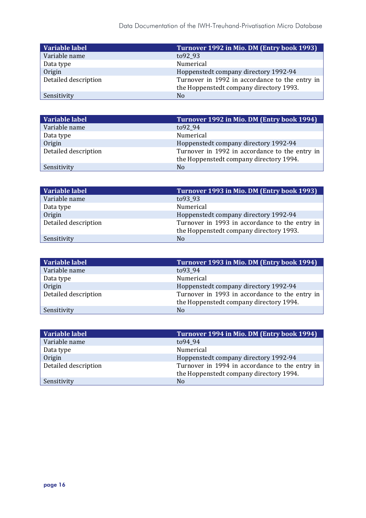| Variable label       | Turnover 1992 in Mio. DM (Entry book 1993)                                                |
|----------------------|-------------------------------------------------------------------------------------------|
| Variable name        | to92_93                                                                                   |
| Data type            | Numerical                                                                                 |
| Origin               | Hoppenstedt company directory 1992-94                                                     |
| Detailed description | Turnover in 1992 in accordance to the entry in<br>the Hoppenstedt company directory 1993. |
| Sensitivity          | N <sub>o</sub>                                                                            |

| Variable label       | Turnover 1992 in Mio. DM (Entry book 1994)                                                |
|----------------------|-------------------------------------------------------------------------------------------|
| Variable name        | to92 94                                                                                   |
| Data type            | Numerical                                                                                 |
| Origin               | Hoppenstedt company directory 1992-94                                                     |
| Detailed description | Turnover in 1992 in accordance to the entry in<br>the Hoppenstedt company directory 1994. |
| Sensitivity          | N <sub>0</sub>                                                                            |

| Variable label       | Turnover 1993 in Mio. DM (Entry book 1993)     |
|----------------------|------------------------------------------------|
| Variable name        | to93_93                                        |
| Data type            | Numerical                                      |
| $\int$ Origin        | Hoppenstedt company directory 1992-94          |
| Detailed description | Turnover in 1993 in accordance to the entry in |
|                      | the Hoppenstedt company directory 1993.        |
| Sensitivity          | No.                                            |

| Variable label       | Turnover 1993 in Mio. DM (Entry book 1994)     |
|----------------------|------------------------------------------------|
| Variable name        | to93_94                                        |
| Data type            | Numerical                                      |
| Origin               | Hoppenstedt company directory 1992-94          |
| Detailed description | Turnover in 1993 in accordance to the entry in |
|                      | the Hoppenstedt company directory 1994.        |
| Sensitivity          | No                                             |

| Variable label       | Turnover 1994 in Mio. DM (Entry book 1994).    |
|----------------------|------------------------------------------------|
| Variable name        | to94_94                                        |
| Data type            | Numerical                                      |
| Origin               | Hoppenstedt company directory 1992-94          |
| Detailed description | Turnover in 1994 in accordance to the entry in |
|                      | the Hoppenstedt company directory 1994.        |
| Sensitivity          | No                                             |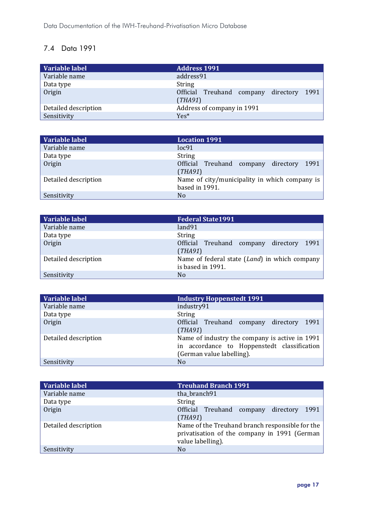# <span id="page-18-0"></span>7.4 Data 1991

| Variable label       | <b>Address 1991</b>                      |
|----------------------|------------------------------------------|
| Variable name        | address91                                |
| Data type            | <b>String</b>                            |
| Origin               | Official Treuhand company directory 1991 |
|                      | (THA91)                                  |
| Detailed description | Address of company in 1991               |
| Sensitivity          | $Yes*$                                   |

| Variable label       | <b>Location 1991</b>                                            |
|----------------------|-----------------------------------------------------------------|
| Variable name        | loc91                                                           |
| Data type            | <b>String</b>                                                   |
| Origin               | Official Treuhand company directory 1991<br>(THA91)             |
| Detailed description | Name of city/municipality in which company is<br>based in 1991. |
| Sensitivity          | No.                                                             |

| Variable label       | <b>Federal State1991</b>                                                    |
|----------------------|-----------------------------------------------------------------------------|
| Variable name        | land91                                                                      |
| Data type            | <b>String</b>                                                               |
| Origin               | <b>Official</b><br>Treuhand company directory<br>1991<br>(THA91)            |
| Detailed description | Name of federal state ( <i>Land</i> ) in which company<br>is based in 1991. |
| Sensitivity          | No.                                                                         |

| Variable label       | <b>Industry Hoppenstedt 1991</b>                                                                                           |
|----------------------|----------------------------------------------------------------------------------------------------------------------------|
| Variable name        | industry91                                                                                                                 |
| Data type            | <b>String</b>                                                                                                              |
| Origin               | Official Treuhand company directory 1991<br>(THA91)                                                                        |
| Detailed description | Name of industry the company is active in 1991<br>in accordance to Hoppenstedt classification<br>(German value labelling). |
| Sensitivity          | N <sub>0</sub>                                                                                                             |

| Variable label       | <b>Treuhand Branch 1991</b>                                                                                          |
|----------------------|----------------------------------------------------------------------------------------------------------------------|
| Variable name        | tha branch91                                                                                                         |
| Data type            | <b>String</b>                                                                                                        |
| Origin               | Official Treuhand company<br>directory 1991<br>(THA91)                                                               |
| Detailed description | Name of the Treuhand branch responsible for the<br>privatisation of the company in 1991 (German<br>value labelling). |
| Sensitivity          | No.                                                                                                                  |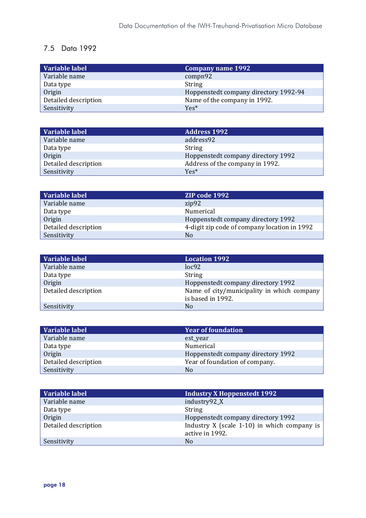# <span id="page-19-0"></span>7.5 Data 1992

| Variable label       | <b>Company name 1992</b>              |
|----------------------|---------------------------------------|
| Variable name        | compn92                               |
| Data type            | <b>String</b>                         |
| $\int$ Origin        | Hoppenstedt company directory 1992-94 |
| Detailed description | Name of the company in 1992.          |
| Sensitivity          | $Yes*$                                |

| Variable label       | <b>Address 1992</b>                |
|----------------------|------------------------------------|
| Variable name        | address92                          |
| Data type            | String                             |
| Origin               | Hoppenstedt company directory 1992 |
| Detailed description | Address of the company in 1992.    |
| Sensitivity          | $Yes*$                             |

| Variable label       | ZIP code 1992                                |
|----------------------|----------------------------------------------|
| Variable name        | zip92                                        |
| Data type            | Numerical                                    |
| Origin               | Hoppenstedt company directory 1992           |
| Detailed description | 4-digit zip code of company location in 1992 |
| Sensitivity          | N <sub>0</sub>                               |

| Variable label       | <b>Location 1992</b>                                            |
|----------------------|-----------------------------------------------------------------|
| Variable name        | loc92                                                           |
| Data type            | <b>String</b>                                                   |
| Origin               | Hoppenstedt company directory 1992                              |
| Detailed description | Name of city/municipality in which company<br>is based in 1992. |
| Sensitivity          | No.                                                             |

| Variable label       | <b>Year of foundation</b>          |
|----------------------|------------------------------------|
| Variable name        | est_year                           |
| Data type            | Numerical                          |
| Origin               | Hoppenstedt company directory 1992 |
| Detailed description | Year of foundation of company.     |
| Sensitivity          | No                                 |

| Variable label       | <b>Industry X Hoppenstedt 1992</b>                               |
|----------------------|------------------------------------------------------------------|
| Variable name        | industry92_X                                                     |
| Data type            | <b>String</b>                                                    |
| Origin               | Hoppenstedt company directory 1992                               |
| Detailed description | Industry $X$ (scale 1-10) in which company is<br>active in 1992. |
| Sensitivity          | No                                                               |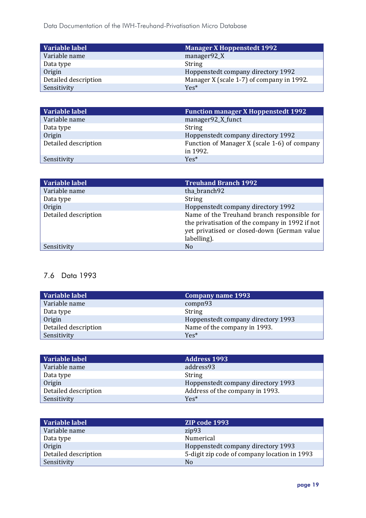| Variable label       | <b>Manager X Hoppenstedt 1992</b>         |
|----------------------|-------------------------------------------|
| Variable name        | manager92_X                               |
| Data type            | String                                    |
| Origin               | Hoppenstedt company directory 1992        |
| Detailed description | Manager X (scale 1-7) of company in 1992. |
| Sensitivity          | $Yes*$                                    |

| Variable label       | <b>Function manager X Hoppenstedt 1992</b>   |
|----------------------|----------------------------------------------|
| Variable name        | manager92_X_funct                            |
| Data type            | String                                       |
| Origin               | Hoppenstedt company directory 1992           |
| Detailed description | Function of Manager X (scale 1-6) of company |
|                      | in 1992.                                     |
| Sensitivity          | $Yes*$                                       |

| Variable label       | <b>Treuhand Branch 1992</b>                                                                                                                                  |
|----------------------|--------------------------------------------------------------------------------------------------------------------------------------------------------------|
| Variable name        | tha branch92                                                                                                                                                 |
| Data type            | <b>String</b>                                                                                                                                                |
| Origin               | Hoppenstedt company directory 1992                                                                                                                           |
| Detailed description | Name of the Treuhand branch responsible for<br>the privatisation of the company in 1992 if not<br>yet privatised or closed-down (German value<br>labelling). |
| Sensitivity          | N <sub>0</sub>                                                                                                                                               |

### <span id="page-20-0"></span>7.6 Data 1993

| Variable label       | <b>Company name 1993</b>           |
|----------------------|------------------------------------|
| Variable name        | compn93                            |
| Data type            | <b>String</b>                      |
| $\int$ Origin        | Hoppenstedt company directory 1993 |
| Detailed description | Name of the company in 1993.       |
| Sensitivity          | $Yes*$                             |

| Variable label       | <b>Address 1993</b>                |
|----------------------|------------------------------------|
| Variable name        | address93                          |
| Data type            | <b>String</b>                      |
| Origin               | Hoppenstedt company directory 1993 |
| Detailed description | Address of the company in 1993.    |
| Sensitivity          | $Yes*$                             |

| Variable label       | ZIP code 1993                                |
|----------------------|----------------------------------------------|
| Variable name        | zip93                                        |
| Data type            | Numerical                                    |
| Origin               | Hoppenstedt company directory 1993           |
| Detailed description | 5-digit zip code of company location in 1993 |
| Sensitivity          | N <sub>0</sub>                               |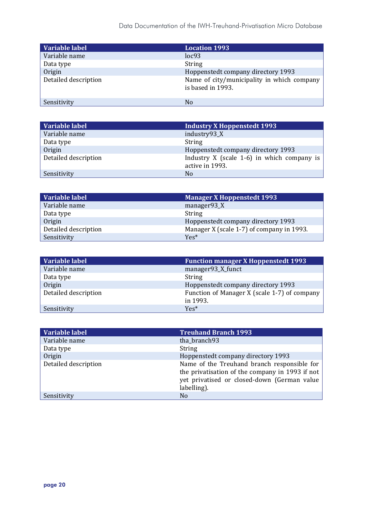| Variable label       | <b>Location 1993</b>                                            |
|----------------------|-----------------------------------------------------------------|
| Variable name        | loc93                                                           |
| Data type            | <b>String</b>                                                   |
| Origin               | Hoppenstedt company directory 1993                              |
| Detailed description | Name of city/municipality in which company<br>is based in 1993. |
| Sensitivity          | No.                                                             |

| Variable label       | <b>Industry X Hoppenstedt 1993</b>                              |
|----------------------|-----------------------------------------------------------------|
| Variable name        | industry93_X                                                    |
| Data type            | <b>String</b>                                                   |
| Origin               | Hoppenstedt company directory 1993                              |
| Detailed description | Industry $X$ (scale 1-6) in which company is<br>active in 1993. |
| Sensitivity          | No.                                                             |

| Variable label       | <b>Manager X Hoppenstedt 1993</b>         |
|----------------------|-------------------------------------------|
| Variable name        | manager93 <sub>_</sub> X                  |
| Data type            | String                                    |
| Origin               | Hoppenstedt company directory 1993        |
| Detailed description | Manager X (scale 1-7) of company in 1993. |
| Sensitivity          | $Yes*$                                    |

| Variable label       | <b>Function manager X Hoppenstedt 1993</b>   |
|----------------------|----------------------------------------------|
| Variable name        | manager93_X_funct                            |
| Data type            | <b>String</b>                                |
| Origin               | Hoppenstedt company directory 1993           |
| Detailed description | Function of Manager X (scale 1-7) of company |
|                      | in 1993.                                     |
| Sensitivity          | $Yes*$                                       |

| Variable label       | <b>Treuhand Branch 1993</b>                                                                                                                                  |
|----------------------|--------------------------------------------------------------------------------------------------------------------------------------------------------------|
| Variable name        | tha branch93                                                                                                                                                 |
| Data type            | <b>String</b>                                                                                                                                                |
| Origin               | Hoppenstedt company directory 1993                                                                                                                           |
| Detailed description | Name of the Treuhand branch responsible for<br>the privatisation of the company in 1993 if not<br>yet privatised or closed-down (German value<br>labelling). |
| Sensitivity          | No.                                                                                                                                                          |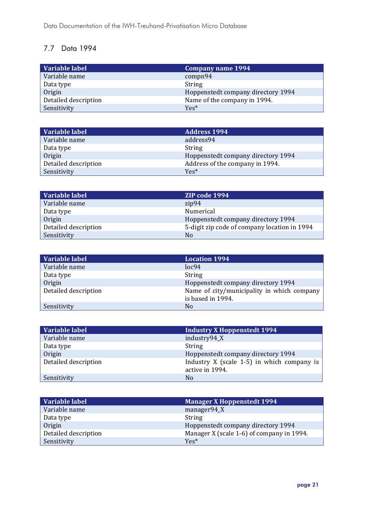# <span id="page-22-0"></span>7.7 Data 1994

| Variable label       | <b>Company name 1994</b>           |
|----------------------|------------------------------------|
| Variable name        | compn94                            |
| Data type            | <b>String</b>                      |
| Origin               | Hoppenstedt company directory 1994 |
| Detailed description | Name of the company in 1994.       |
| Sensitivity          | $Yes*$                             |

| Variable label       | <b>Address 1994</b>                |
|----------------------|------------------------------------|
| Variable name        | address94                          |
| Data type            | <b>String</b>                      |
| Origin               | Hoppenstedt company directory 1994 |
| Detailed description | Address of the company in 1994.    |
| Sensitivity          | $Yes*$                             |

| Variable label       | ZIP code 1994                                |
|----------------------|----------------------------------------------|
| Variable name        | zip94                                        |
| Data type            | Numerical                                    |
| Origin               | Hoppenstedt company directory 1994           |
| Detailed description | 5-digit zip code of company location in 1994 |
| Sensitivity          | N <sub>0</sub>                               |

| Variable label       | <b>Location 1994</b>                       |
|----------------------|--------------------------------------------|
| Variable name        | loc94                                      |
| Data type            | <b>String</b>                              |
| Origin               | Hoppenstedt company directory 1994         |
| Detailed description | Name of city/municipality in which company |
|                      | is based in 1994.                          |
| Sensitivity          | No.                                        |

| Variable label       | <b>Industry X Hoppenstedt 1994</b>                              |
|----------------------|-----------------------------------------------------------------|
| Variable name        | industry94_X                                                    |
| Data type            | <b>String</b>                                                   |
| Origin               | Hoppenstedt company directory 1994                              |
| Detailed description | Industry $X$ (scale 1-5) in which company is<br>active in 1994. |
| Sensitivity          | No                                                              |

| Variable label       | <b>Manager X Hoppenstedt 1994</b>         |
|----------------------|-------------------------------------------|
| Variable name        | manager94_X                               |
| Data type            | <b>String</b>                             |
| Origin               | Hoppenstedt company directory 1994        |
| Detailed description | Manager X (scale 1-6) of company in 1994. |
| Sensitivity          | $Yes*$                                    |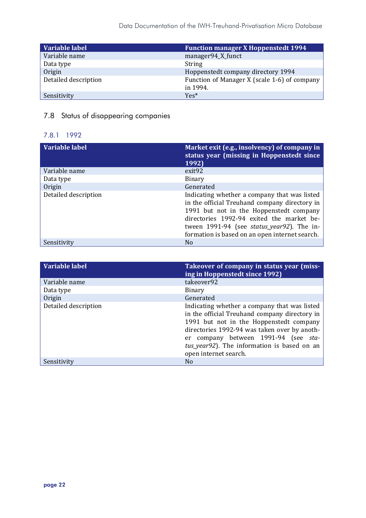| Variable label       | <b>Function manager X Hoppenstedt 1994</b>   |
|----------------------|----------------------------------------------|
| Variable name        | manager94_X_funct                            |
| Data type            | String                                       |
| Origin               | Hoppenstedt company directory 1994           |
| Detailed description | Function of Manager X (scale 1-6) of company |
|                      | in 1994.                                     |
| Sensitivity          | Yes <sup>*</sup>                             |

# <span id="page-23-0"></span>7.8 Status of disappearing companies

# <span id="page-23-1"></span>7.8.1 1992

| <b>Variable label</b> | Market exit (e.g., insolvency) of company in<br>status year (missing in Hoppenstedt since)<br>1992)                                                                                                                                                                                   |
|-----------------------|---------------------------------------------------------------------------------------------------------------------------------------------------------------------------------------------------------------------------------------------------------------------------------------|
| Variable name         | exit <sub>92</sub>                                                                                                                                                                                                                                                                    |
| Data type             | <b>Binary</b>                                                                                                                                                                                                                                                                         |
| Origin                | Generated                                                                                                                                                                                                                                                                             |
| Detailed description  | Indicating whether a company that was listed<br>in the official Treuhand company directory in<br>1991 but not in the Hoppenstedt company<br>directories 1992-94 exited the market be-<br>tween 1991-94 (see status_year92). The in-<br>formation is based on an open internet search. |
| Sensitivity           | N <sub>0</sub>                                                                                                                                                                                                                                                                        |

| <b>Variable label</b> | Takeover of company in status year (miss-<br>ing in Hoppenstedt since 1992)                                                                                                                                                                                                                              |
|-----------------------|----------------------------------------------------------------------------------------------------------------------------------------------------------------------------------------------------------------------------------------------------------------------------------------------------------|
| Variable name         | takeover92                                                                                                                                                                                                                                                                                               |
| Data type             | <b>Binary</b>                                                                                                                                                                                                                                                                                            |
| Origin                | Generated                                                                                                                                                                                                                                                                                                |
| Detailed description  | Indicating whether a company that was listed<br>in the official Treuhand company directory in<br>1991 but not in the Hoppenstedt company<br>directories 1992-94 was taken over by anoth-<br>er company between 1991-94 (see sta-<br>tus_year92). The information is based on an<br>open internet search. |
| Sensitivity           | N <sub>0</sub>                                                                                                                                                                                                                                                                                           |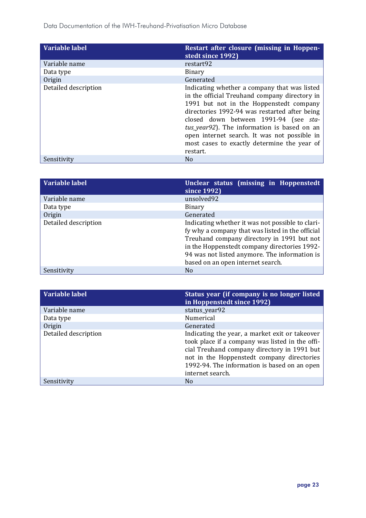| <b>Variable label</b> | Restart after closure (missing in Hoppen-<br>stedt since 1992)                                                                                                                                                                                                                                                                                                                               |
|-----------------------|----------------------------------------------------------------------------------------------------------------------------------------------------------------------------------------------------------------------------------------------------------------------------------------------------------------------------------------------------------------------------------------------|
| Variable name         | restart92                                                                                                                                                                                                                                                                                                                                                                                    |
| Data type             | <b>Binary</b>                                                                                                                                                                                                                                                                                                                                                                                |
| Origin                | Generated                                                                                                                                                                                                                                                                                                                                                                                    |
| Detailed description  | Indicating whether a company that was listed<br>in the official Treuhand company directory in<br>1991 but not in the Hoppenstedt company<br>directories 1992-94 was restarted after being<br>closed down between 1991-94 (see sta-<br>tus_year92). The information is based on an<br>open internet search. It was not possible in<br>most cases to exactly determine the year of<br>restart. |
| Sensitivity           | No.                                                                                                                                                                                                                                                                                                                                                                                          |

| Variable label       | Unclear status (missing in Hoppenstedt<br>since 1992)                                                                                                                                                                                                                                    |
|----------------------|------------------------------------------------------------------------------------------------------------------------------------------------------------------------------------------------------------------------------------------------------------------------------------------|
| Variable name        | unsolved92                                                                                                                                                                                                                                                                               |
| Data type            | <b>Binary</b>                                                                                                                                                                                                                                                                            |
| Origin               | Generated                                                                                                                                                                                                                                                                                |
| Detailed description | Indicating whether it was not possible to clari-<br>fy why a company that was listed in the official<br>Treuhand company directory in 1991 but not<br>in the Hoppenstedt company directories 1992-<br>94 was not listed anymore. The information is<br>based on an open internet search. |
| Sensitivity          | N <sub>0</sub>                                                                                                                                                                                                                                                                           |

| <b>Variable label</b> | Status year (if company is no longer listed<br>in Hoppenstedt since 1992)                                                                                                                                                                                          |
|-----------------------|--------------------------------------------------------------------------------------------------------------------------------------------------------------------------------------------------------------------------------------------------------------------|
| Variable name         | status_year92                                                                                                                                                                                                                                                      |
| Data type             | Numerical                                                                                                                                                                                                                                                          |
| Origin                | Generated                                                                                                                                                                                                                                                          |
| Detailed description  | Indicating the year, a market exit or takeover<br>took place if a company was listed in the offi-<br>cial Treuhand company directory in 1991 but<br>not in the Hoppenstedt company directories<br>1992-94. The information is based on an open<br>internet search. |
| Sensitivity           | N <sub>0</sub>                                                                                                                                                                                                                                                     |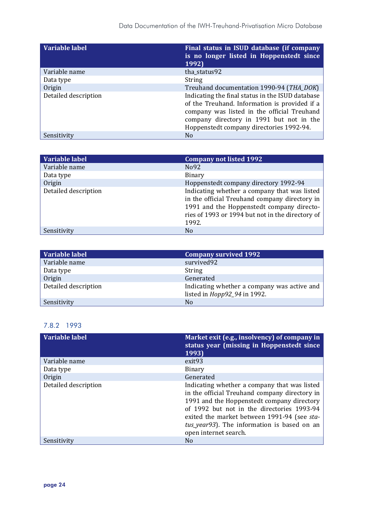| <b>Variable label</b> | Final status in ISUD database (if company<br>is no longer listed in Hoppenstedt since<br>1992)                                                                                                                                           |
|-----------------------|------------------------------------------------------------------------------------------------------------------------------------------------------------------------------------------------------------------------------------------|
| Variable name         | tha_status92                                                                                                                                                                                                                             |
| Data type             | <b>String</b>                                                                                                                                                                                                                            |
| Origin                | Treuhand documentation 1990-94 (THA_DOK)                                                                                                                                                                                                 |
| Detailed description  | Indicating the final status in the ISUD database<br>of the Treuhand. Information is provided if a<br>company was listed in the official Treuhand<br>company directory in 1991 but not in the<br>Hoppenstedt company directories 1992-94. |
| Sensitivity           | N <sub>0</sub>                                                                                                                                                                                                                           |

| <b>Variable label</b> | <b>Company not listed 1992</b>                   |
|-----------------------|--------------------------------------------------|
| Variable name         | N <sub>0</sub> 92                                |
| Data type             | <b>Binary</b>                                    |
| Origin                | Hoppenstedt company directory 1992-94            |
| Detailed description  | Indicating whether a company that was listed     |
|                       | in the official Treuhand company directory in    |
|                       | 1991 and the Hoppenstedt company directo-        |
|                       | ries of 1993 or 1994 but not in the directory of |
|                       | 1992.                                            |
| Sensitivity           | No.                                              |

| Variable label       | <b>Company survived 1992</b>                                                |
|----------------------|-----------------------------------------------------------------------------|
| Variable name        | survived92                                                                  |
| Data type            | <b>String</b>                                                               |
| Origin               | Generated                                                                   |
| Detailed description | Indicating whether a company was active and<br>listed in Hopp92_94 in 1992. |
| Sensitivity          | N <sub>0</sub>                                                              |

#### <span id="page-25-0"></span>7.8.2 1993

| <b>Variable label</b> | Market exit (e.g., insolvency) of company in<br>status year (missing in Hoppenstedt since<br>1993)                                                                                                                                                                                                               |
|-----------------------|------------------------------------------------------------------------------------------------------------------------------------------------------------------------------------------------------------------------------------------------------------------------------------------------------------------|
| Variable name         | exit <sub>93</sub>                                                                                                                                                                                                                                                                                               |
| Data type             | Binary                                                                                                                                                                                                                                                                                                           |
| Origin                | Generated                                                                                                                                                                                                                                                                                                        |
| Detailed description  | Indicating whether a company that was listed<br>in the official Treuhand company directory in<br>1991 and the Hoppenstedt company directory<br>of 1992 but not in the directories 1993-94<br>exited the market between 1991-94 (see sta-<br>tus_year93). The information is based on an<br>open internet search. |
| Sensitivity           | N <sub>0</sub>                                                                                                                                                                                                                                                                                                   |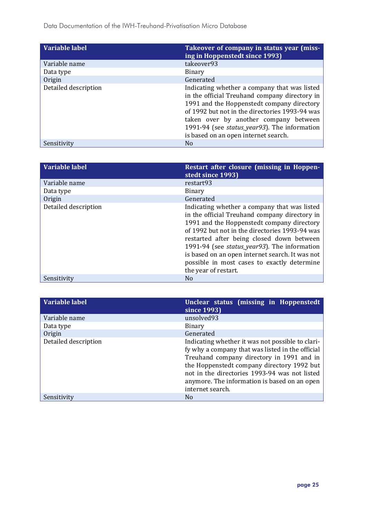| Variable label       | Takeover of company in status year (miss-<br>ing in Hoppenstedt since 1993)                                                                                                                                                                                                                                                    |
|----------------------|--------------------------------------------------------------------------------------------------------------------------------------------------------------------------------------------------------------------------------------------------------------------------------------------------------------------------------|
| Variable name        | takeover93                                                                                                                                                                                                                                                                                                                     |
| Data type            | <b>Binary</b>                                                                                                                                                                                                                                                                                                                  |
| Origin               | Generated                                                                                                                                                                                                                                                                                                                      |
| Detailed description | Indicating whether a company that was listed<br>in the official Treuhand company directory in<br>1991 and the Hoppenstedt company directory<br>of 1992 but not in the directories 1993-94 was<br>taken over by another company between<br>1991-94 (see status_year93). The information<br>is based on an open internet search. |
| Sensitivity          | N <sub>0</sub>                                                                                                                                                                                                                                                                                                                 |

| <b>Variable label</b> | Restart after closure (missing in Hoppen-<br>stedt since 1993)                                                                                                                                                                                                                                                                                                                                                       |
|-----------------------|----------------------------------------------------------------------------------------------------------------------------------------------------------------------------------------------------------------------------------------------------------------------------------------------------------------------------------------------------------------------------------------------------------------------|
| Variable name         | restart93                                                                                                                                                                                                                                                                                                                                                                                                            |
| Data type             | <b>Binary</b>                                                                                                                                                                                                                                                                                                                                                                                                        |
| Origin                | Generated                                                                                                                                                                                                                                                                                                                                                                                                            |
| Detailed description  | Indicating whether a company that was listed<br>in the official Treuhand company directory in<br>1991 and the Hoppenstedt company directory<br>of 1992 but not in the directories 1993-94 was<br>restarted after being closed down between<br>1991-94 (see status_year93). The information<br>is based on an open internet search. It was not<br>possible in most cases to exactly determine<br>the year of restart. |
| Sensitivity           | N <sub>0</sub>                                                                                                                                                                                                                                                                                                                                                                                                       |

| <b>Variable label</b> | Unclear status (missing in Hoppenstedt<br>since 1993)                                                                                                                                                                                                                                                                |
|-----------------------|----------------------------------------------------------------------------------------------------------------------------------------------------------------------------------------------------------------------------------------------------------------------------------------------------------------------|
| Variable name         | unsolved93                                                                                                                                                                                                                                                                                                           |
| Data type             | Binary                                                                                                                                                                                                                                                                                                               |
| Origin                | Generated                                                                                                                                                                                                                                                                                                            |
| Detailed description  | Indicating whether it was not possible to clari-<br>fy why a company that was listed in the official<br>Treuhand company directory in 1991 and in<br>the Hoppenstedt company directory 1992 but<br>not in the directories 1993-94 was not listed<br>anymore. The information is based on an open<br>internet search. |
| Sensitivity           | N <sub>0</sub>                                                                                                                                                                                                                                                                                                       |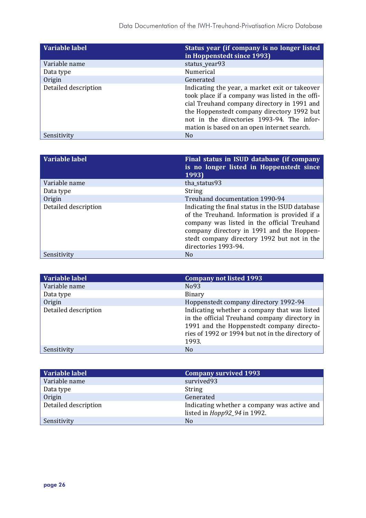| <b>Variable label</b> | Status year (if company is no longer listed<br>in Hoppenstedt since 1993)                                                                                                                                                                                                                   |
|-----------------------|---------------------------------------------------------------------------------------------------------------------------------------------------------------------------------------------------------------------------------------------------------------------------------------------|
| Variable name         | status_year93                                                                                                                                                                                                                                                                               |
| Data type             | Numerical                                                                                                                                                                                                                                                                                   |
| Origin                | Generated                                                                                                                                                                                                                                                                                   |
| Detailed description  | Indicating the year, a market exit or takeover<br>took place if a company was listed in the offi-<br>cial Treuhand company directory in 1991 and<br>the Hoppenstedt company directory 1992 but<br>not in the directories 1993-94. The infor-<br>mation is based on an open internet search. |
| Sensitivity           | No.                                                                                                                                                                                                                                                                                         |

| Variable label       | Final status in ISUD database (if company<br>is no longer listed in Hoppenstedt since<br>1993)                                                                                                                                                                       |
|----------------------|----------------------------------------------------------------------------------------------------------------------------------------------------------------------------------------------------------------------------------------------------------------------|
| Variable name        | tha_status93                                                                                                                                                                                                                                                         |
| Data type            | <b>String</b>                                                                                                                                                                                                                                                        |
| Origin               | Treuhand documentation 1990-94                                                                                                                                                                                                                                       |
| Detailed description | Indicating the final status in the ISUD database<br>of the Treuhand. Information is provided if a<br>company was listed in the official Treuhand<br>company directory in 1991 and the Hoppen-<br>stedt company directory 1992 but not in the<br>directories 1993-94. |
| Sensitivity          | N <sub>0</sub>                                                                                                                                                                                                                                                       |

| Variable label       | <b>Company not listed 1993</b>                                                                                                                                                                          |
|----------------------|---------------------------------------------------------------------------------------------------------------------------------------------------------------------------------------------------------|
| Variable name        | N <sub>0</sub> 93                                                                                                                                                                                       |
| Data type            | <b>Binary</b>                                                                                                                                                                                           |
| Origin               | Hoppenstedt company directory 1992-94                                                                                                                                                                   |
| Detailed description | Indicating whether a company that was listed<br>in the official Treuhand company directory in<br>1991 and the Hoppenstedt company directo-<br>ries of 1992 or 1994 but not in the directory of<br>1993. |
| Sensitivity          | No.                                                                                                                                                                                                     |

<span id="page-27-0"></span>

| Variable label       | <b>Company survived 1993</b>                                                |
|----------------------|-----------------------------------------------------------------------------|
| Variable name        | survived93                                                                  |
| Data type            | <b>String</b>                                                               |
| Origin               | Generated                                                                   |
| Detailed description | Indicating whether a company was active and<br>listed in Hopp92_94 in 1992. |
| Sensitivity          | No                                                                          |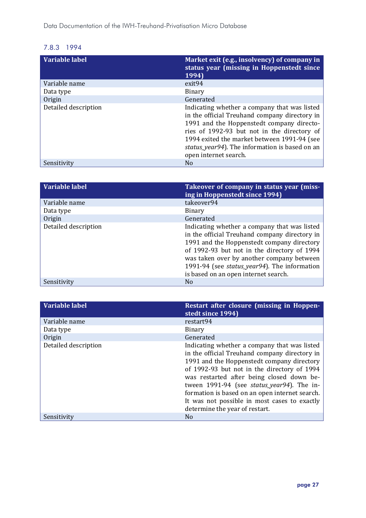### 7.8.3 1994

| <b>Variable label</b> | Market exit (e.g., insolvency) of company in<br>status year (missing in Hoppenstedt since<br>1994)                                                                                                                                                                                                                  |
|-----------------------|---------------------------------------------------------------------------------------------------------------------------------------------------------------------------------------------------------------------------------------------------------------------------------------------------------------------|
| Variable name         | exit <sub>94</sub>                                                                                                                                                                                                                                                                                                  |
| Data type             | <b>Binary</b>                                                                                                                                                                                                                                                                                                       |
| Origin                | Generated                                                                                                                                                                                                                                                                                                           |
| Detailed description  | Indicating whether a company that was listed<br>in the official Treuhand company directory in<br>1991 and the Hoppenstedt company directo-<br>ries of 1992-93 but not in the directory of<br>1994 exited the market between 1991-94 (see<br>status_year94). The information is based on an<br>open internet search. |
| Sensitivity           | N <sub>0</sub>                                                                                                                                                                                                                                                                                                      |

| Variable label       | Takeover of company in status year (miss-<br>ing in Hoppenstedt since 1994)                                                                                                                                                                                                                                                     |
|----------------------|---------------------------------------------------------------------------------------------------------------------------------------------------------------------------------------------------------------------------------------------------------------------------------------------------------------------------------|
| Variable name        | takeover94                                                                                                                                                                                                                                                                                                                      |
| Data type            | <b>Binary</b>                                                                                                                                                                                                                                                                                                                   |
| Origin               | Generated                                                                                                                                                                                                                                                                                                                       |
| Detailed description | Indicating whether a company that was listed<br>in the official Treuhand company directory in<br>1991 and the Hoppenstedt company directory<br>of 1992-93 but not in the directory of 1994<br>was taken over by another company between<br>1991-94 (see status_year94). The information<br>is based on an open internet search. |
| Sensitivity          | N <sub>0</sub>                                                                                                                                                                                                                                                                                                                  |

| <b>Variable label</b> | Restart after closure (missing in Hoppen-<br>stedt since 1994)                                                                                                                                                                                                                                                                                                                                                            |
|-----------------------|---------------------------------------------------------------------------------------------------------------------------------------------------------------------------------------------------------------------------------------------------------------------------------------------------------------------------------------------------------------------------------------------------------------------------|
| Variable name         | restart94                                                                                                                                                                                                                                                                                                                                                                                                                 |
| Data type             | Binary                                                                                                                                                                                                                                                                                                                                                                                                                    |
| Origin                | Generated                                                                                                                                                                                                                                                                                                                                                                                                                 |
| Detailed description  | Indicating whether a company that was listed<br>in the official Treuhand company directory in<br>1991 and the Hoppenstedt company directory<br>of 1992-93 but not in the directory of 1994<br>was restarted after being closed down be-<br>tween 1991-94 (see status_year94). The in-<br>formation is based on an open internet search.<br>It was not possible in most cases to exactly<br>determine the year of restart. |
| Sensitivity           | N <sub>0</sub>                                                                                                                                                                                                                                                                                                                                                                                                            |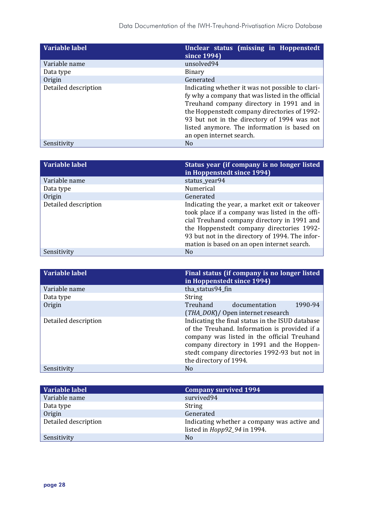| <b>Variable label</b> | Unclear status (missing in Hoppenstedt<br>since 1994)                                                                                                                                                                                                                                                                       |  |
|-----------------------|-----------------------------------------------------------------------------------------------------------------------------------------------------------------------------------------------------------------------------------------------------------------------------------------------------------------------------|--|
| Variable name         | unsolved94                                                                                                                                                                                                                                                                                                                  |  |
| Data type             | Binary                                                                                                                                                                                                                                                                                                                      |  |
| Origin                | Generated                                                                                                                                                                                                                                                                                                                   |  |
| Detailed description  | Indicating whether it was not possible to clari-<br>fy why a company that was listed in the official<br>Treuhand company directory in 1991 and in<br>the Hoppenstedt company directories of 1992-<br>93 but not in the directory of 1994 was not<br>listed anymore. The information is based on<br>an open internet search. |  |
| Sensitivity           | N <sub>0</sub>                                                                                                                                                                                                                                                                                                              |  |

| Variable label       | Status year (if company is no longer listed<br>in Hoppenstedt since 1994)                                                                                                                                                                                                                       |
|----------------------|-------------------------------------------------------------------------------------------------------------------------------------------------------------------------------------------------------------------------------------------------------------------------------------------------|
| Variable name        | status_year94                                                                                                                                                                                                                                                                                   |
| Data type            | Numerical                                                                                                                                                                                                                                                                                       |
| Origin               | Generated                                                                                                                                                                                                                                                                                       |
| Detailed description | Indicating the year, a market exit or takeover<br>took place if a company was listed in the offi-<br>cial Treuhand company directory in 1991 and<br>the Hoppenstedt company directories 1992-<br>93 but not in the directory of 1994. The infor-<br>mation is based on an open internet search. |
| Sensitivity          | No.                                                                                                                                                                                                                                                                                             |

| <b>Variable label</b> | Final status (if company is no longer listed<br>in Hoppenstedt since 1994)                                                                                                                                                                                              |  |  |
|-----------------------|-------------------------------------------------------------------------------------------------------------------------------------------------------------------------------------------------------------------------------------------------------------------------|--|--|
| Variable name         | tha_status94_fin                                                                                                                                                                                                                                                        |  |  |
| Data type             | <b>String</b>                                                                                                                                                                                                                                                           |  |  |
| Origin                | Treuhand<br>1990-94<br>documentation<br>(THA_DOK)/ Open internet research                                                                                                                                                                                               |  |  |
| Detailed description  | Indicating the final status in the ISUD database<br>of the Treuhand. Information is provided if a<br>company was listed in the official Treuhand<br>company directory in 1991 and the Hoppen-<br>stedt company directories 1992-93 but not in<br>the directory of 1994. |  |  |
| Sensitivity           | N <sub>0</sub>                                                                                                                                                                                                                                                          |  |  |

<span id="page-29-0"></span>

| <b>Variable label</b> | <b>Company survived 1994</b>                                                |
|-----------------------|-----------------------------------------------------------------------------|
| Variable name         | survived94                                                                  |
| Data type             | <b>String</b>                                                               |
| Origin                | Generated                                                                   |
| Detailed description  | Indicating whether a company was active and<br>listed in Hopp92_94 in 1994. |
| Sensitivity           | N <sub>0</sub>                                                              |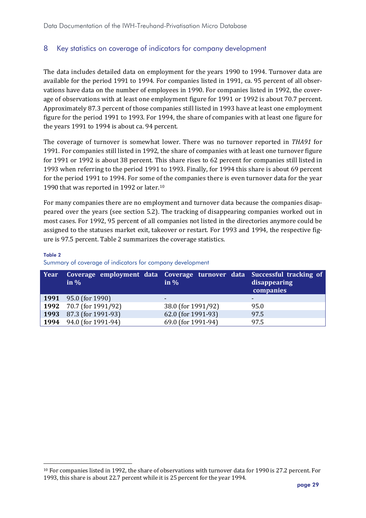#### 8 Key statistics on coverage of indicators for company development

The data includes detailed data on employment for the years 1990 to 1994. Turnover data are available for the period 1991 to 1994. For companies listed in 1991, ca. 95 percent of all observations have data on the number of employees in 1990. For companies listed in 1992, the coverage of observations with at least one employment figure for 1991 or 1992 is about 70.7 percent. Approximately 87.3 percent of those companies still listed in 1993 have at least one employment figure for the period 1991 to 1993. For 1994, the share of companies with at least one figure for the years 1991 to 1994 is about ca. 94 percent.

The coverage of turnover is somewhat lower. There was no turnover reported in *THA91* for 1991. For companies still listed in 1992, the share of companies with at least one turnover figure for 1991 or 1992 is about 38 percent. This share rises to 62 percent for companies still listed in 1993 when referring to the period 1991 to 1993. Finally, for 1994 this share is about 69 percent for the period 1991 to 1994. For some [of t](#page-30-0)he companies there is even turnover data for the year 1990 that was reported in 1992 or later.10

For many companies there are no employment and turnover data because the companies disappeared over the years (see section 5.2). The tracking of disappearing companies worked out in most cases. For 1992, 95 percent of all companies not listed in the directories anymore could be assigned to the statuses market exit, takeover or restart. For 1993 and 1994, the respective figure is 97.5 percent. Table 2 summarizes the coverage statistics.

| Year | Coverage employment data Coverage turnover data Successful tracking of<br>in $\%$ | in $\%$                  | disappearing<br>companies |
|------|-----------------------------------------------------------------------------------|--------------------------|---------------------------|
|      | <b>1991</b> 95.0 (for 1990)                                                       | $\overline{\phantom{a}}$ | -                         |
|      | 1992 70.7 (for 1991/92)                                                           | 38.0 (for 1991/92)       | 95.0                      |
| 1993 | 87.3 (for 1991-93)                                                                | 62.0 (for 1991-93)       | 97.5                      |
| 1994 | 94.0 (for 1991-94)                                                                | 69.0 (for 1991-94)       | 97.5                      |

#### Table 2 Summary of coverage of indicators for company development

**.** 

<span id="page-30-0"></span><sup>10</sup> For companies listed in 1992, the share of observations with turnover data for 1990 is 27.2 percent. For 1993, this share is about 22.7 percent while it is 25 percent for the year 1994.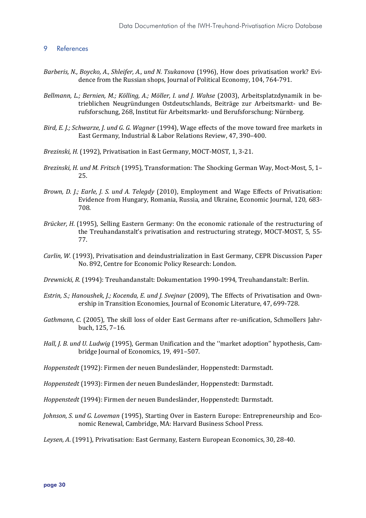#### <span id="page-31-0"></span>9 References

- *Barberis, N., Boycko, A., Shleifer, A., und N. Tsukanova* (1996), How does privatisation work? Evidence from the Russian shops, Journal of Political Economy, 104, 764-791.
- *Bellmann, L.; Bernien, M.; Kölling, A.; Möller, I. und J. Wahse* (2003), Arbeitsplatzdynamik in betrieblichen Neugründungen Ostdeutschlands, Beiträge zur Arbeitsmarkt- und Berufsforschung, 268, Institut für Arbeitsmarkt- und Berufsforschung: Nürnberg.
- *Bird, E. J.; Schwarze, J. und G. G. Wagner* (1994), Wage effects of the move toward free markets in East Germany, Industrial & Labor Relations Review, 47, 390–400.
- *Brezinski, H.* (1992), Privatisation in East Germany, MOCT-MOST, 1, 3-21.
- *Brezinski, H. und M. Fritsch* (1995), Transformation: The Shocking German Way, Moct-Most, 5, 1– 25.
- *Brown, D. J.; Earle, J. S. und A. Telegdy* (2010), Employment and Wage Effects of Privatisation: Evidence from Hungary, Romania, Russia, and Ukraine, Economic Journal, 120, 683- 708.
- *Brücker, H.* (1995), Selling Eastern Germany: On the economic rationale of the restructuring of the Treuhandanstalt's privatisation and restructuring strategy, MOCT-MOST, 5, 55- 77.
- *Carlin, W.* (1993), Privatisation and deindustrialization in East Germany, CEPR Discussion Paper No. 892, Centre for Economic Policy Research: London.
- *Drewnicki, R.* (1994): Treuhandanstalt: Dokumentation 1990-1994, Treuhandanstalt: Berlin.
- *Estrin, S.; Hanoushek, J.; Kocenda, E. und J. Svejnar* (2009), The Effects of Privatisation and Ownership in Transition Economies, Journal of Economic Literature, 47, 699-728.
- *Gathmann, C*. (2005), The skill loss of older East Germans after re-unification, Schmollers Jahrbuch, 125, 7–16.
- *Hall, J. B. und U. Ludwig* (1995), German Unification and the ''market adoption'' hypothesis, Cambridge Journal of Economics, 19, 491–507.
- *Hoppenstedt* (1992): Firmen der neuen Bundesländer, Hoppenstedt: Darmstadt.
- *Hoppenstedt* (1993): Firmen der neuen Bundesländer, Hoppenstedt: Darmstadt.
- *Hoppenstedt* (1994): Firmen der neuen Bundesländer, Hoppenstedt: Darmstadt.
- *Johnson, S. und G. Loveman* (1995), Starting Over in Eastern Europe: Entrepreneurship and Economic Renewal, Cambridge, MA: Harvard Business School Press.
- *Leysen, A*. (1991), Privatisation: East Germany, Eastern European Economics, 30, 28-40.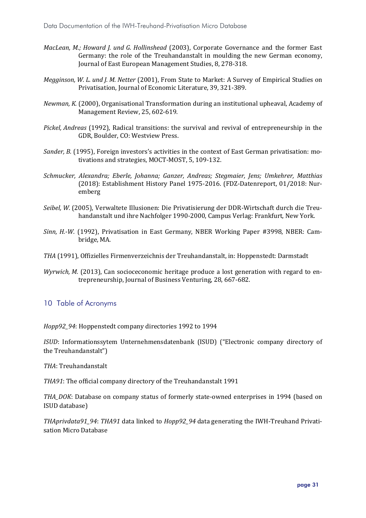- *MacLean, M.; Howard J. und G. Hollinshead* (2003), Corporate Governance and the former East Germany: the role of the Treuhandanstalt in moulding the new German economy, Journal of East European Management Studies, 8, 278-318.
- *Megginson, W. L. und J. M. Netter* (2001), From State to Market: A Survey of Empirical Studies on Privatisation, Journal of Economic Literature, 39, 321-389.
- *Newman, K.* (2000), Organisational Transformation during an institutional upheaval, Academy of Management Review, 25, 602-619.
- *Pickel, Andreas* (1992), Radical transitions: the survival and revival of entrepreneurship in the GDR, Boulder, CO: Westview Press.
- *Sander, B.* (1995), Foreign investors's activities in the context of East German privatisation: motivations and strategies, MOCT-MOST, 5, 109-132.
- *Schmucker, Alexandra; Eberle, Johanna; Ganzer, Andreas; Stegmaier, Jens; Umkehrer, Matthias* (2018): Establishment History Panel 1975-2016. (FDZ-Datenreport, 01/2018: Nuremberg
- *Seibel, W.* (2005), Verwaltete Illusionen: Die Privatisierung der DDR-Wirtschaft durch die Treuhandanstalt und ihre Nachfolger 1990-2000, Campus Verlag: Frankfurt, New York.
- *Sinn, H.-W.* (1992), Privatisation in East Germany, NBER Working Paper #3998, NBER: Cambridge, MA.
- *THA* (1991), Offizielles Firmenverzeichnis der Treuhandanstalt, in: Hoppenstedt: Darmstadt
- *Wyrwich, M.* (2013), Can socioceconomic heritage produce a lost generation with regard to entrepreneurship, Journal of Business Venturing, 28, 667-682.

#### <span id="page-32-0"></span>10 Table of Acronyms

*Hopp92\_94*: Hoppenstedt company directories 1992 to 1994

*ISUD*: Informationssytem Unternehmensdatenbank (ISUD) ("Electronic company directory of the Treuhandanstalt")

*THA*: Treuhandanstalt

*THA91*: The official company directory of the Treuhandanstalt 1991

*THA\_DOK*: Database on company status of formerly state-owned enterprises in 1994 (based on ISUD database)

*THAprivdata91\_94*: *THA91* data linked to *Hopp92\_94* data generating the IWH-Treuhand Privatisation Micro Database